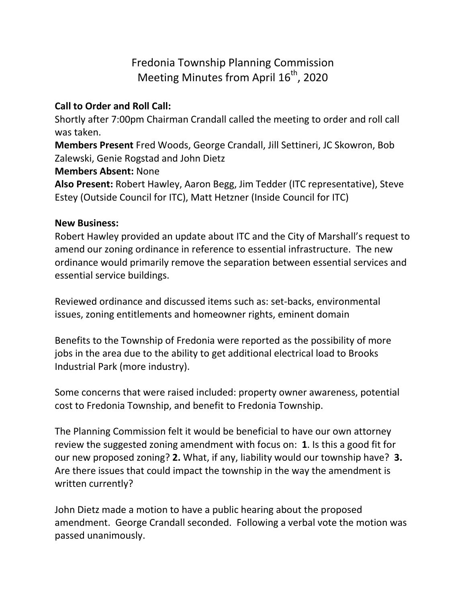## Fredonia Township Planning Commission Meeting Minutes from April  $16<sup>th</sup>$ , 2020

## **Call to Order and Roll Call:**

Shortly after 7:00pm Chairman Crandall called the meeting to order and roll call was taken.

**Members Present** Fred Woods, George Crandall, Jill Settineri, JC Skowron, Bob Zalewski, Genie Rogstad and John Dietz

## **Members Absent:** None

**Also Present:** Robert Hawley, Aaron Begg, Jim Tedder (ITC representative), Steve Estey (Outside Council for ITC), Matt Hetzner (Inside Council for ITC)

## **New Business:**

Robert Hawley provided an update about ITC and the City of Marshall's request to amend our zoning ordinance in reference to essential infrastructure. The new ordinance would primarily remove the separation between essential services and essential service buildings.

Reviewed ordinance and discussed items such as: set-backs, environmental issues, zoning entitlements and homeowner rights, eminent domain

Benefits to the Township of Fredonia were reported as the possibility of more jobs in the area due to the ability to get additional electrical load to Brooks Industrial Park (more industry).

Some concerns that were raised included: property owner awareness, potential cost to Fredonia Township, and benefit to Fredonia Township.

The Planning Commission felt it would be beneficial to have our own attorney review the suggested zoning amendment with focus on: **1**. Is this a good fit for our new proposed zoning? **2.** What, if any, liability would our township have? **3.**  Are there issues that could impact the township in the way the amendment is written currently?

John Dietz made a motion to have a public hearing about the proposed amendment. George Crandall seconded. Following a verbal vote the motion was passed unanimously.